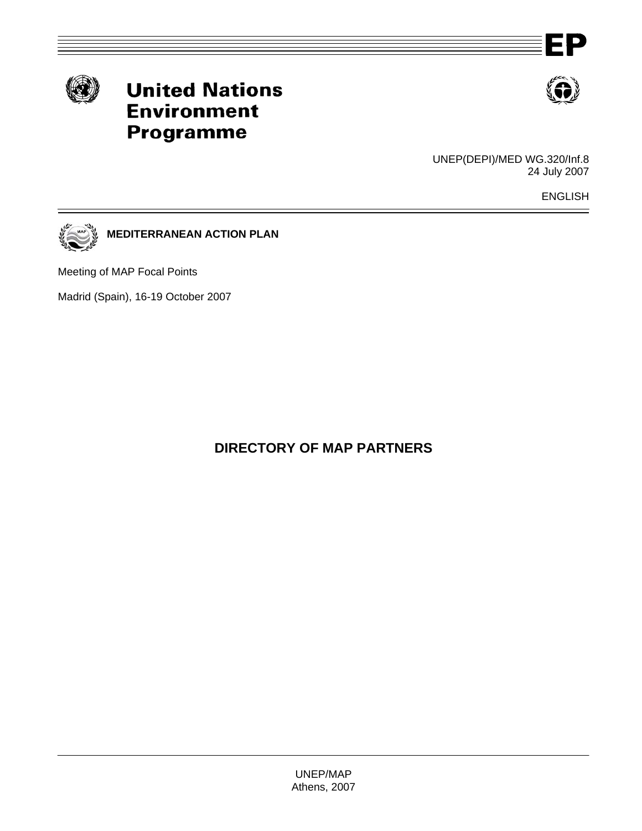





UNEP(DEPI)/MED WG.320/Inf.8 24 July 2007

ENGLISH



**MEDITERRANEAN ACTION PLAN** 

Meeting of MAP Focal Points

Madrid (Spain), 16-19 October 2007

**DIRECTORY OF MAP PARTNERS**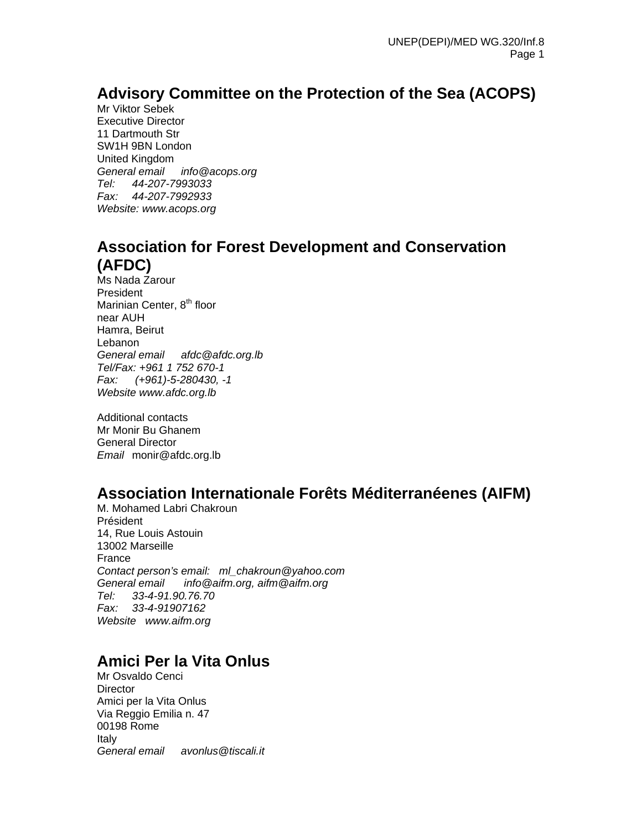## **Advisory Committee on the Protection of the Sea (ACOPS)**

Mr Viktor Sebek Executive Director 11 Dartmouth Str SW1H 9BN London United Kingdom *General email info@acops.org Tel: 44-207-7993033 Fax: 44-207-7992933 Website: www.acops.org*

### **Association for Forest Development and Conservation (AFDC)**

Ms Nada Zarour President Marinian Center, 8<sup>th</sup> floor near AUH Hamra, Beirut Lebanon *General email afdc@afdc.org.lb Tel/Fax: +961 1 752 670-1 Fax: (+961)-5-280430, -1 Website www.afdc.org.lb* 

Additional contacts Mr Monir Bu Ghanem General Director *Email* monir@afdc.org.lb

### **Association Internationale Forêts Méditerranéenes (AIFM)**

M. Mohamed Labri Chakroun Président 14, Rue Louis Astouin 13002 Marseille France *Contact person's email: ml\_chakroun@yahoo.com General email info@aifm.org, aifm@aifm.org Tel: 33-4-91.90.76.70 Fax: 33-4-91907162 Website www.aifm.org* 

## **Amici Per la Vita Onlus**

Mr Osvaldo Cenci **Director** Amici per la Vita Onlus Via Reggio Emilia n. 47 00198 Rome Italy *General email avonlus@tiscali.it*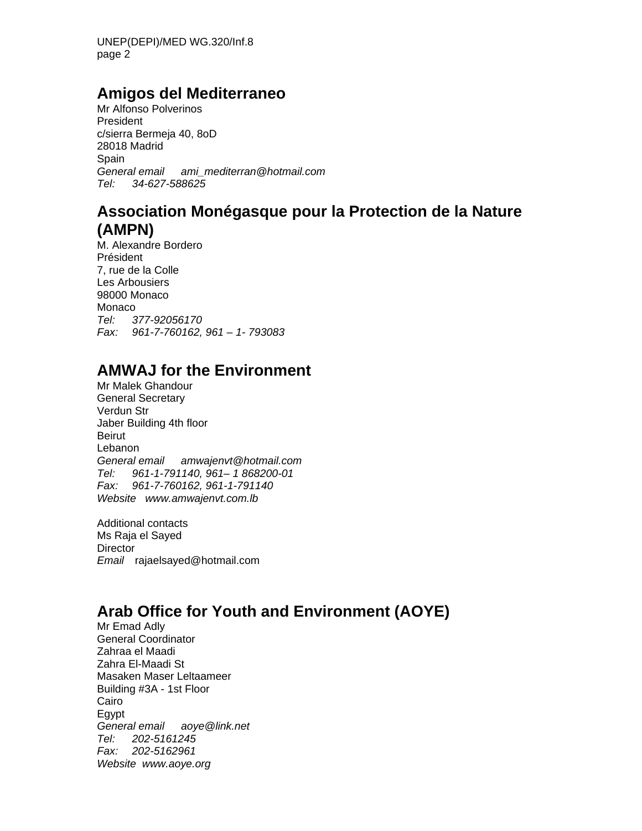UNEP(DEPI)/MED WG.320/Inf.8 page 2

#### **Amigos del Mediterraneo**

Mr Alfonso Polverinos President c/sierra Bermeja 40, 8oD 28018 Madrid Spain *General email ami\_mediterran@hotmail.com Tel: 34-627-588625* 

#### **Association Monégasque pour la Protection de la Nature (AMPN)**

M. Alexandre Bordero Président 7, rue de la Colle Les Arbousiers 98000 Monaco Monaco *Tel: 377-92056170 Fax: 961-7-760162, 961 – 1- 793083* 

### **AMWAJ for the Environment**

Mr Malek Ghandour General Secretary Verdun Str Jaber Building 4th floor Beirut Lebanon *General email amwajenvt@hotmail.com Tel: 961-1-791140, 961– 1 868200-01 Fax: 961-7-760162, 961-1-791140 Website www.amwajenvt.com.lb* 

Additional contacts Ms Raja el Sayed **Director** *Email* rajaelsayed@hotmail.com

# **Arab Office for Youth and Environment (AOYE)**

Mr Emad Adly General Coordinator Zahraa el Maadi Zahra El-Maadi St Masaken Maser Leltaameer Building #3A - 1st Floor Cairo Egypt *General email aoye@link.net Tel: 202-5161245 Fax: 202-5162961 Website www.aoye.org*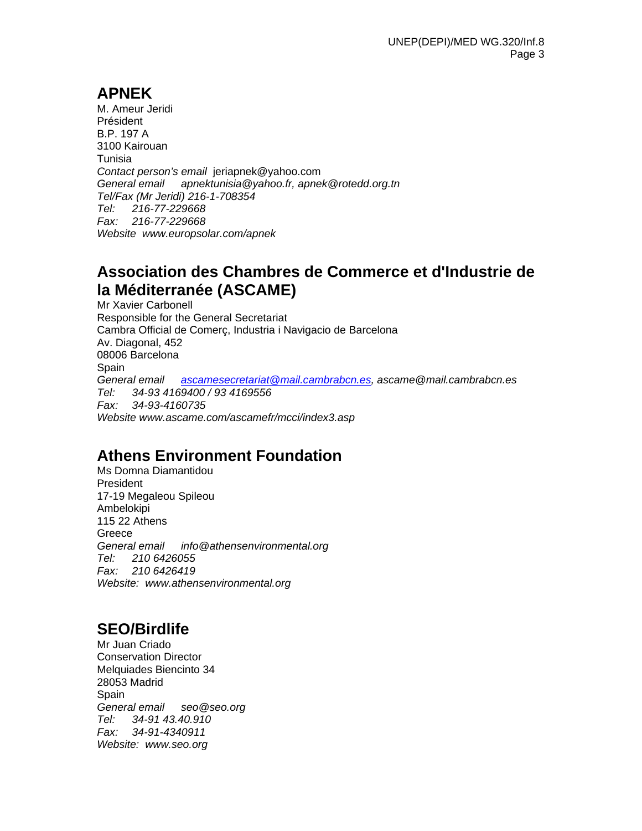# **APNEK**

M. Ameur Jeridi Président B.P. 197 A 3100 Kairouan Tunisia *Contact person's email* jeriapnek@yahoo.com *General email apnektunisia@yahoo.fr, apnek@rotedd.org.tn Tel/Fax (Mr Jeridi) 216-1-708354 Tel: 216-77-229668 Fax: 216-77-229668 Website www.europsolar.com/apnek* 

## **Association des Chambres de Commerce et d'Industrie de la Méditerranée (ASCAME)**

Mr Xavier Carbonell Responsible for the General Secretariat Cambra Official de Comerç, Industria i Navigacio de Barcelona Av. Diagonal, 452 08006 Barcelona **Spain** *General email ascamesecretariat@mail.cambrabcn.es, ascame@mail.cambrabcn.es Tel: 34-93 4169400 / 93 4169556 Fax: 34-93-4160735 Website www.ascame.com/ascamefr/mcci/index3.asp* 

## **Athens Environment Foundation**

Ms Domna Diamantidou President 17-19 Megaleou Spileou Ambelokipi 115 22 Athens Greece *General email info@athensenvironmental.org Tel: 210 6426055 Fax: 210 6426419 Website: www.athensenvironmental.org* 

# **SEO/Birdlife**

Mr Juan Criado Conservation Director Melquiades Biencinto 34 28053 Madrid Spain *General email seo@seo.org Tel: 34-91 43.40.910 Fax: 34-91-4340911 Website: www.seo.org*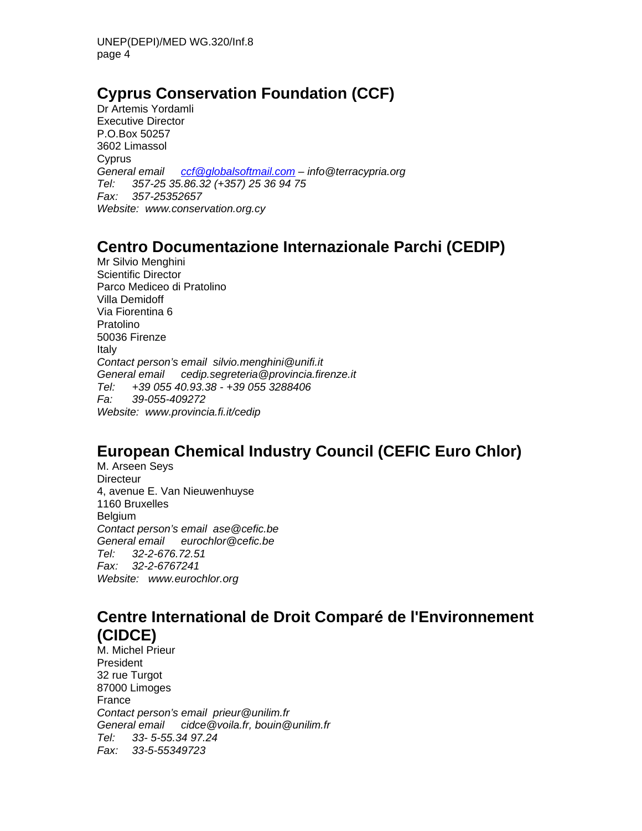# **Cyprus Conservation Foundation (CCF)**

Dr Artemis Yordamli Executive Director P.O.Box 50257 3602 Limassol Cyprus *General email ccf@globalsoftmail.com – info@terracypria.org Tel: 357-25 35.86.32 (+357) 25 36 94 75 Fax: 357-25352657 Website: www.conservation.org.cy* 

### **Centro Documentazione Internazionale Parchi (CEDIP)**

Mr Silvio Menghini Scientific Director Parco Mediceo di Pratolino Villa Demidoff Via Fiorentina 6 Pratolino 50036 Firenze Italy *Contact person's email silvio.menghini@unifi.it General email cedip.segreteria@provincia.firenze.it Tel: +39 055 40.93.38 - +39 055 3288406 Fa: 39-055-409272 Website: www.provincia.fi.it/cedip* 

# **European Chemical Industry Council (CEFIC Euro Chlor)**

M. Arseen Seys **Directeur** 4, avenue E. Van Nieuwenhuyse 1160 Bruxelles Belgium *Contact person's email ase@cefic.be General email eurochlor@cefic.be Tel: 32-2-676.72.51 Fax: 32-2-6767241 Website: www.eurochlor.org* 

### **Centre International de Droit Comparé de l'Environnement (CIDCE)**

M. Michel Prieur President 32 rue Turgot 87000 Limoges France *Contact person's email prieur@unilim.fr General email cidce@voila.fr, bouin@unilim.fr Tel: 33- 5-55.34 97.24 Fax: 33-5-55349723*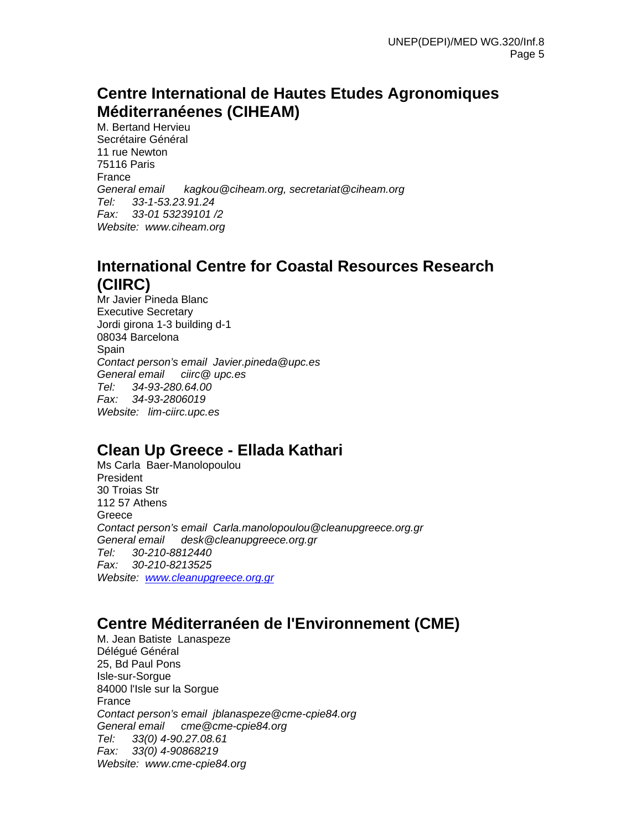### **Centre International de Hautes Etudes Agronomiques Méditerranéenes (CIHEAM)**

M. Bertand Hervieu Secrétaire Général 11 rue Newton 75116 Paris France *General email kagkou@ciheam.org, secretariat@ciheam.org Tel: 33-1-53.23.91.24 Fax: 33-01 53239101 /2 Website: www.ciheam.org* 

### **International Centre for Coastal Resources Research (CIIRC)**

Mr Javier Pineda Blanc Executive Secretary Jordi girona 1-3 building d-1 08034 Barcelona Spain *Contact person's email Javier.pineda@upc.es General email ciirc@ upc.es Tel: 34-93-280.64.00 Fax: 34-93-2806019 Website: lim-ciirc.upc.es* 

## **Clean Up Greece - Ellada Kathari**

Ms Carla Baer-Manolopoulou President 30 Troias Str 112 57 Athens Greece *Contact person's email Carla.manolopoulou@cleanupgreece.org.gr General email desk@cleanupgreece.org.gr Tel: 30-210-8812440 Fax: 30-210-8213525 Website: www.cleanupgreece.org.gr*

## **Centre Méditerranéen de l'Environnement (CME)**

M. Jean Batiste Lanaspeze Délégué Général 25, Bd Paul Pons Isle-sur-Sorgue 84000 l'Isle sur la Sorgue France *Contact person's email jblanaspeze@cme-cpie84.org General email cme@cme-cpie84.org Tel: 33(0) 4-90.27.08.61 Fax: 33(0) 4-90868219 Website: www.cme-cpie84.org*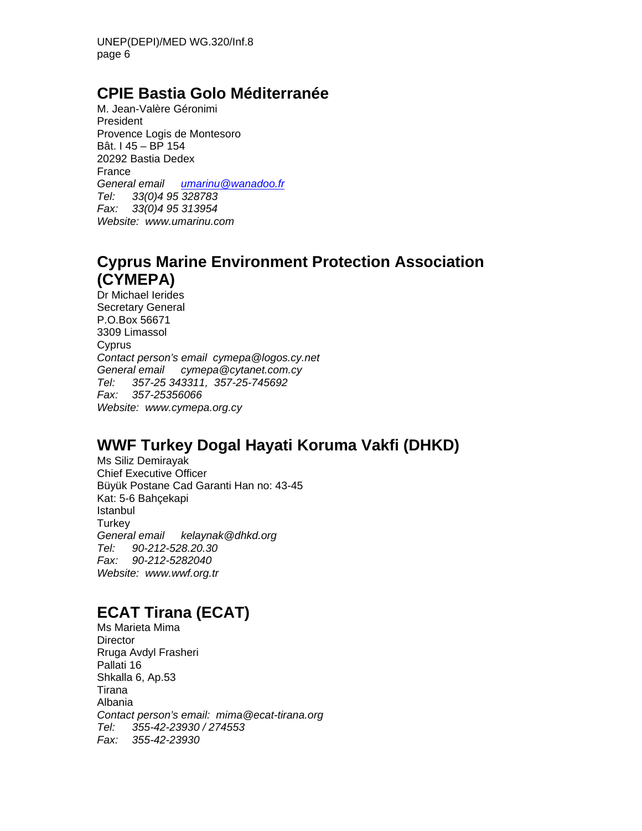### **CPIE Bastia Golo Méditerranée**

M. Jean-Valère Géronimi President Provence Logis de Montesoro Bât. I 45 – BP 154 20292 Bastia Dedex France *General email umarinu@wanadoo.fr Tel: 33(0)4 95 328783 Fax: 33(0)4 95 313954 Website: www.umarinu.com* 

## **Cyprus Marine Environment Protection Association (CYMEPA)**

Dr Michael Ierides Secretary General P.O.Box 56671 3309 Limassol Cyprus *Contact person's email cymepa@logos.cy.net General email cymepa@cytanet.com.cy Tel: 357-25 343311, 357-25-745692 Fax: 357-25356066 Website: www.cymepa.org.cy* 

# **WWF Turkey Dogal Hayati Koruma Vakfi (DHKD)**

Ms Siliz Demirayak Chief Executive Officer Büyük Postane Cad Garanti Han no: 43-45 Kat: 5-6 Bahçekapi Istanbul **Turkey** *General email kelaynak@dhkd.org Tel: 90-212-528.20.30 Fax: 90-212-5282040 Website: www.wwf.org.tr* 

# **ECAT Tirana (ECAT)**

Ms Marieta Mima **Director** Rruga Avdyl Frasheri Pallati 16 Shkalla 6, Ap.53 Tirana Albania *Contact person's email: mima@ecat-tirana.org Tel: 355-42-23930 / 274553 Fax: 355-42-23930*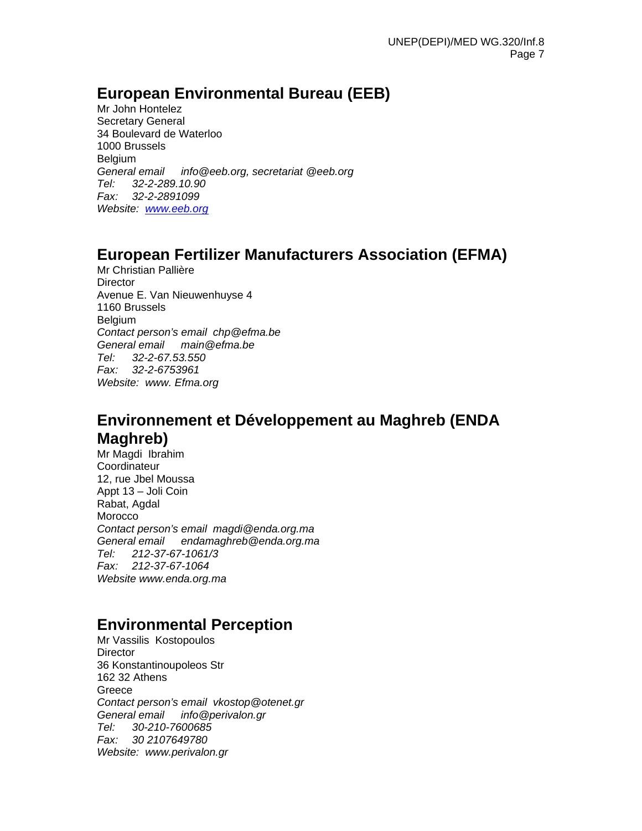### **European Environmental Bureau (EEB)**

Mr John Hontelez Secretary General 34 Boulevard de Waterloo 1000 Brussels Belgium *General email info@eeb.org, secretariat @eeb.org Tel: 32-2-289.10.90 Fax: 32-2-2891099 Website: www.eeb.org*

## **European Fertilizer Manufacturers Association (EFMA)**

Mr Christian Pallière **Director** Avenue E. Van Nieuwenhuyse 4 1160 Brussels Belgium *Contact person's email chp@efma.be General email main@efma.be Tel: 32-2-67.53.550 Fax: 32-2-6753961 Website: www. Efma.org* 

## **Environnement et Développement au Maghreb (ENDA Maghreb)**

Mr Magdi Ibrahim **Coordinateur** 12, rue Jbel Moussa Appt 13 – Joli Coin Rabat, Agdal Morocco *Contact person's email magdi@enda.org.ma General email endamaghreb@enda.org.ma Tel: 212-37-67-1061/3 Fax: 212-37-67-1064 Website www.enda.org.ma* 

### **Environmental Perception**

Mr Vassilis Kostopoulos **Director** 36 Konstantinoupoleos Str 162 32 Athens Greece *Contact person's email vkostop@otenet.gr General email info@perivalon.gr Tel: 30-210-7600685 Fax: 30 2107649780 Website: www.perivalon.gr*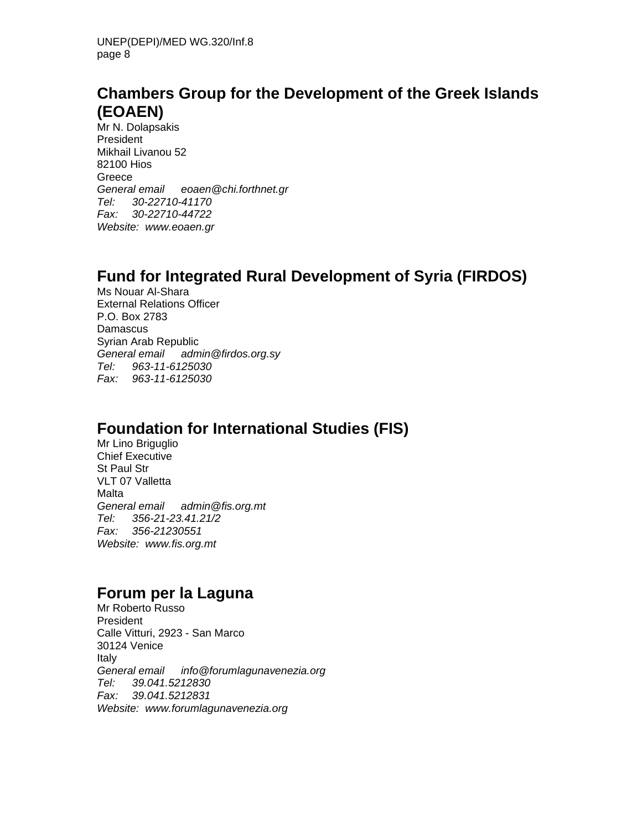### **Chambers Group for the Development of the Greek Islands (EOAEN)**

Mr N. Dolapsakis President Mikhail Livanou 52 82100 Hios Greece *General email eoaen@chi.forthnet.gr Tel: 30-22710-41170 Fax: 30-22710-44722 Website: www.eoaen.gr* 

### **Fund for Integrated Rural Development of Syria (FIRDOS)**

Ms Nouar Al-Shara External Relations Officer P.O. Box 2783 Damascus Syrian Arab Republic *General email admin@firdos.org.sy Tel: 963-11-6125030 Fax: 963-11-6125030* 

### **Foundation for International Studies (FIS)**

Mr Lino Briguglio Chief Executive St Paul Str VLT 07 Valletta Malta *General email admin@fis.org.mt Tel: 356-21-23.41.21/2 Fax: 356-21230551 Website: www.fis.org.mt* 

#### **Forum per la Laguna**

Mr Roberto Russo President Calle Vitturi, 2923 - San Marco 30124 Venice Italy *General email info@forumlagunavenezia.org Tel: 39.041.5212830 Fax: 39.041.5212831 Website: www.forumlagunavenezia.org*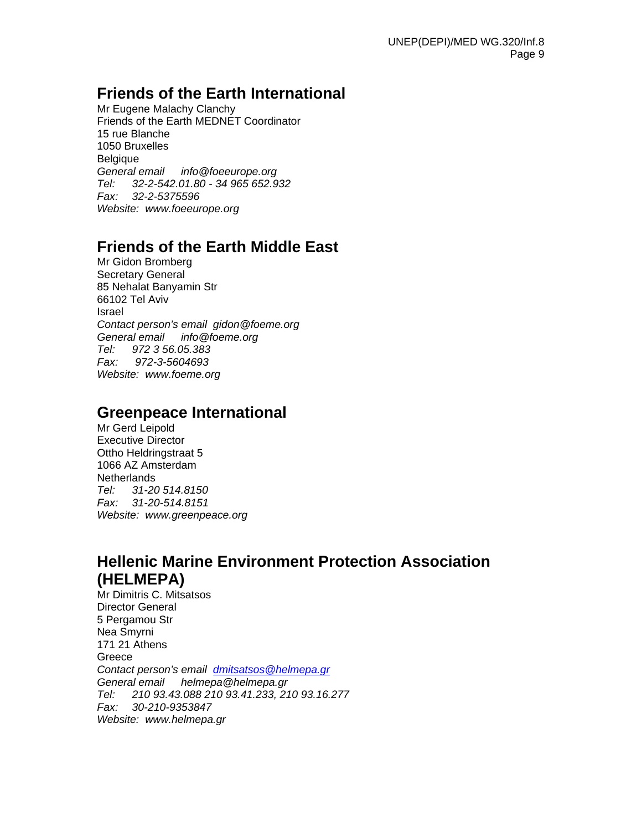#### **Friends of the Earth International**

Mr Eugene Malachy Clanchy Friends of the Earth MEDNET Coordinator 15 rue Blanche 1050 Bruxelles Belgique *General email info@foeeurope.org Tel: 32-2-542.01.80 - 34 965 652.932 Fax: 32-2-5375596 Website: www.foeeurope.org* 

### **Friends of the Earth Middle East**

Mr Gidon Bromberg Secretary General 85 Nehalat Banyamin Str 66102 Tel Aviv Israel *Contact person's email gidon@foeme.org General email info@foeme.org Tel: 972 3 56.05.383 Fax: 972-3-5604693 Website: www.foeme.org* 

#### **Greenpeace International**

Mr Gerd Leipold Executive Director Ottho Heldringstraat 5 1066 AZ Amsterdam **Netherlands** *Tel: 31-20 514.8150 Fax: 31-20-514.8151 Website: www.greenpeace.org* 

## **Hellenic Marine Environment Protection Association (HELMEPA)**

Mr Dimitris C. Mitsatsos Director General 5 Pergamou Str Nea Smyrni 171 21 Athens **Greece** *Contact person's email dmitsatsos@helmepa.gr General email helmepa@helmepa.gr Tel: 210 93.43.088 210 93.41.233, 210 93.16.277 Fax: 30-210-9353847 Website: www.helmepa.gr*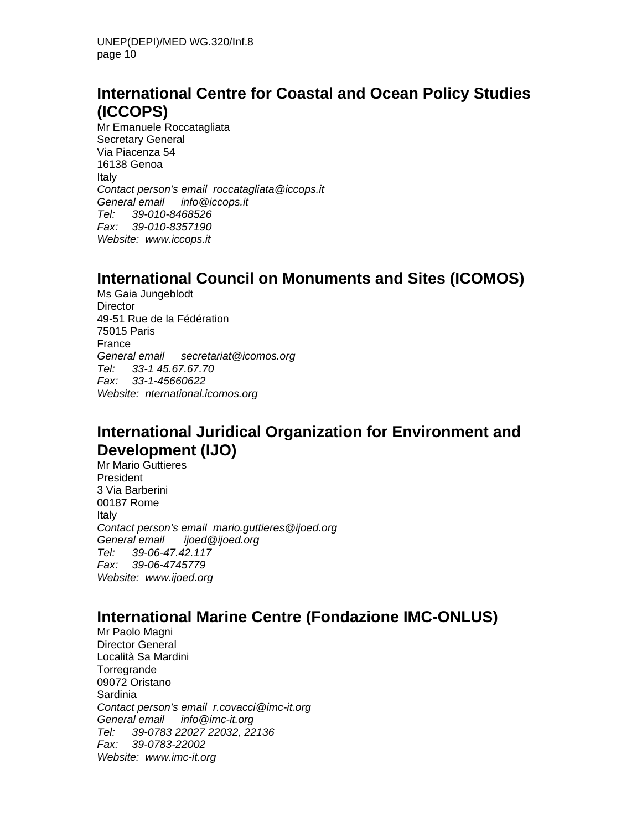### **International Centre for Coastal and Ocean Policy Studies (ICCOPS)**

Mr Emanuele Roccatagliata Secretary General Via Piacenza 54 16138 Genoa Italy *Contact person's email roccatagliata@iccops.it General email info@iccops.it Tel: 39-010-8468526 Fax: 39-010-8357190 Website: www.iccops.it* 

### **International Council on Monuments and Sites (ICOMOS)**

Ms Gaia Jungeblodt **Director** 49-51 Rue de la Fédération 75015 Paris France *General email secretariat@icomos.org Tel: 33-1 45.67.67.70 Fax: 33-1-45660622 Website: nternational.icomos.org* 

## **International Juridical Organization for Environment and Development (IJO)**

Mr Mario Guttieres President 3 Via Barberini 00187 Rome Italy *Contact person's email mario.guttieres@ijoed.org General email ijoed@ijoed.org Tel: 39-06-47.42.117 Fax: 39-06-4745779 Website: www.ijoed.org* 

### **International Marine Centre (Fondazione IMC-ONLUS)**

Mr Paolo Magni Director General Località Sa Mardini **Torregrande** 09072 Oristano Sardinia *Contact person's email r.covacci@imc-it.org General email info@imc-it.org Tel: 39-0783 22027 22032, 22136 Fax: 39-0783-22002 Website: www.imc-it.org*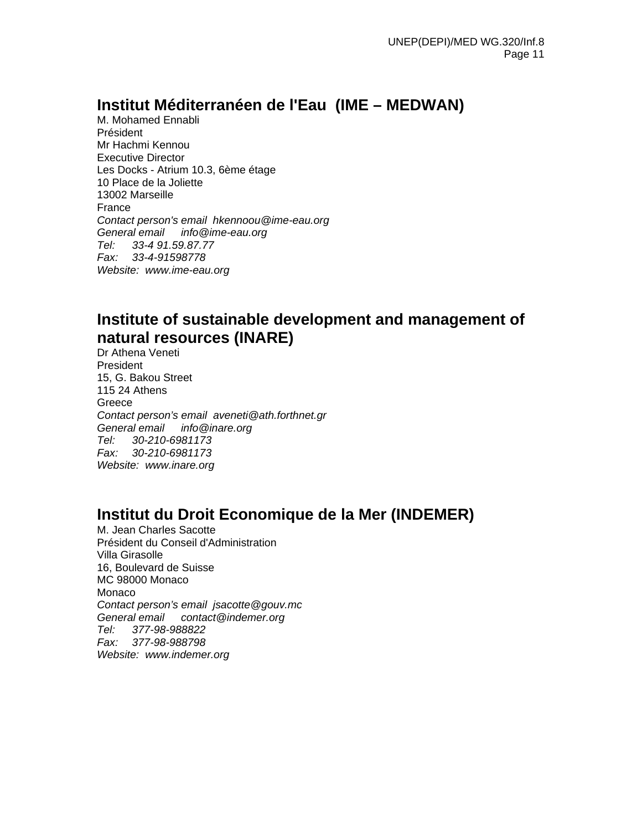### **Institut Méditerranéen de l'Eau (IME – MEDWAN)**

M. Mohamed Ennabli Président Mr Hachmi Kennou Executive Director Les Docks - Atrium 10.3, 6ème étage 10 Place de la Joliette 13002 Marseille France *Contact person's email hkennoou@ime-eau.org General email info@ime-eau.org Tel: 33-4 91.59.87.77 Fax: 33-4-91598778 Website: www.ime-eau.org* 

### **Institute of sustainable development and management of natural resources (INARE)**

Dr Athena Veneti President 15, G. Bakou Street 115 24 Athens Greece *Contact person's email aveneti@ath.forthnet.gr General email info@inare.org Tel: 30-210-6981173 Fax: 30-210-6981173 Website: www.inare.org* 

### **Institut du Droit Economique de la Mer (INDEMER)**

M. Jean Charles Sacotte Président du Conseil d'Administration Villa Girasolle 16, Boulevard de Suisse MC 98000 Monaco Monaco *Contact person's email jsacotte@gouv.mc General email contact@indemer.org Tel: 377-98-988822 Fax: 377-98-988798 Website: www.indemer.org*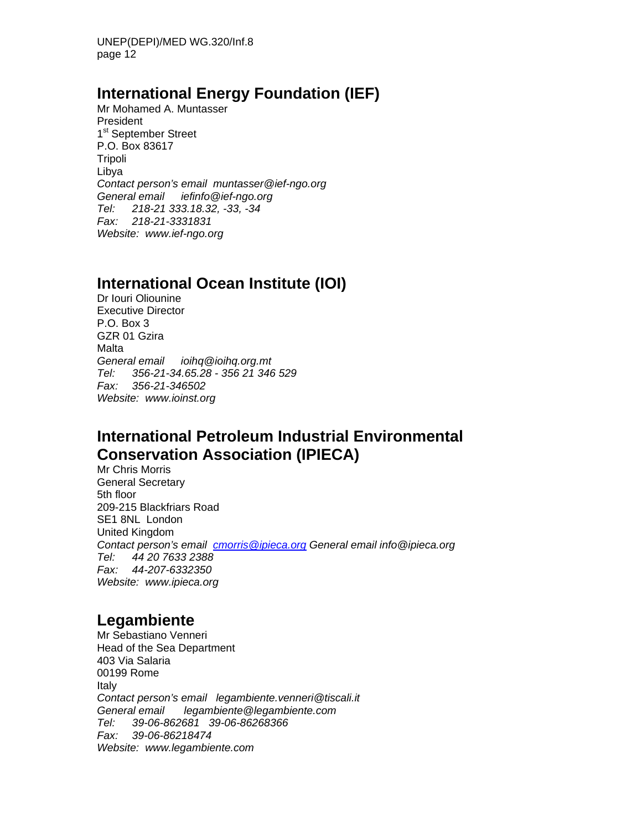UNEP(DEPI)/MED WG.320/Inf.8 page 12

#### **International Energy Foundation (IEF)**

Mr Mohamed A. Muntasser President 1<sup>st</sup> September Street P.O. Box 83617 Tripoli Libya *Contact person's email muntasser@ief-ngo.org General email iefinfo@ief-ngo.org Tel: 218-21 333.18.32, -33, -34 Fax: 218-21-3331831 Website: www.ief-ngo.org* 

### **International Ocean Institute (IOI)**

Dr Iouri Oliounine Executive Director P.O. Box 3 GZR 01 Gzira Malta *General email ioihq@ioihq.org.mt Tel: 356-21-34.65.28 - 356 21 346 529 Fax: 356-21-346502 Website: www.ioinst.org*

### **International Petroleum Industrial Environmental Conservation Association (IPIECA)**

Mr Chris Morris General Secretary 5th floor 209-215 Blackfriars Road SE1 8NL London United Kingdom *Contact person's email cmorris@ipieca.org General email info@ipieca.org Tel: 44 20 7633 2388 Fax: 44-207-6332350 Website: www.ipieca.org* 

### **Legambiente**

Mr Sebastiano Venneri Head of the Sea Department 403 Via Salaria 00199 Rome Italy *Contact person's email legambiente.venneri@tiscali.it General email legambiente@legambiente.com Tel: 39-06-862681 39-06-86268366 Fax: 39-06-86218474 Website: www.legambiente.com*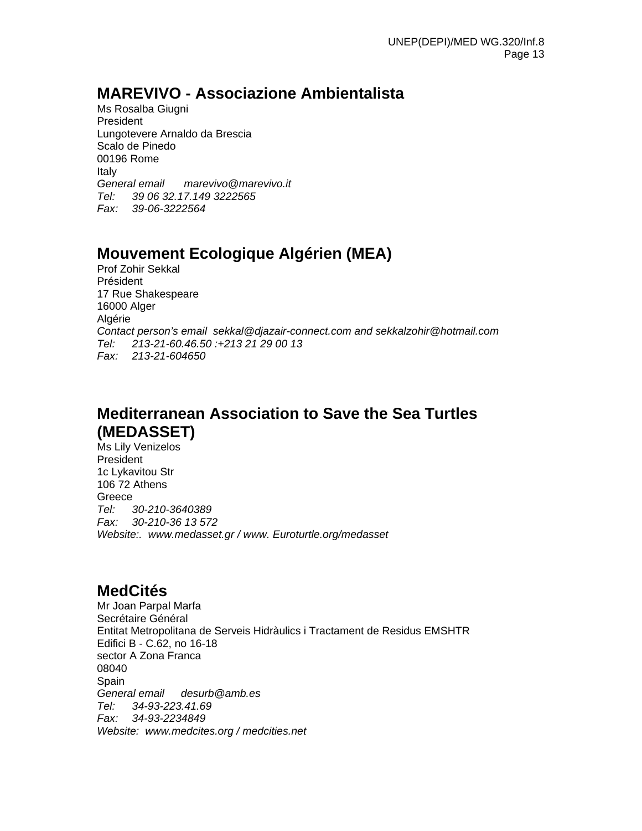### **MAREVIVO - Associazione Ambientalista**

Ms Rosalba Giugni President Lungotevere Arnaldo da Brescia Scalo de Pinedo 00196 Rome Italy *General email marevivo@marevivo.it Tel: 39 06 32.17.149 3222565 Fax: 39-06-3222564* 

## **Mouvement Ecologique Algérien (MEA)**

Prof Zohir Sekkal Président 17 Rue Shakespeare 16000 Alger Algérie *Contact person's email sekkal@djazair-connect.com and sekkalzohir@hotmail.com Tel: 213-21-60.46.50 :+213 21 29 00 13 Fax: 213-21-604650* 

# **Mediterranean Association to Save the Sea Turtles (MEDASSET)**

Ms Lily Venizelos President 1c Lykavitou Str 106 72 Athens Greece *Tel: 30-210-3640389 Fax: 30-210-36 13 572 Website:. www.medasset.gr / www. Euroturtle.org/medasset* 

#### **MedCités**

Mr Joan Parpal Marfa Secrétaire Général Entitat Metropolitana de Serveis Hidràulics i Tractament de Residus EMSHTR Edifici B - C.62, no 16-18 sector A Zona Franca 08040 Spain *General email desurb@amb.es Tel: 34-93-223.41.69 Fax: 34-93-2234849 Website: www.medcites.org / medcities.net*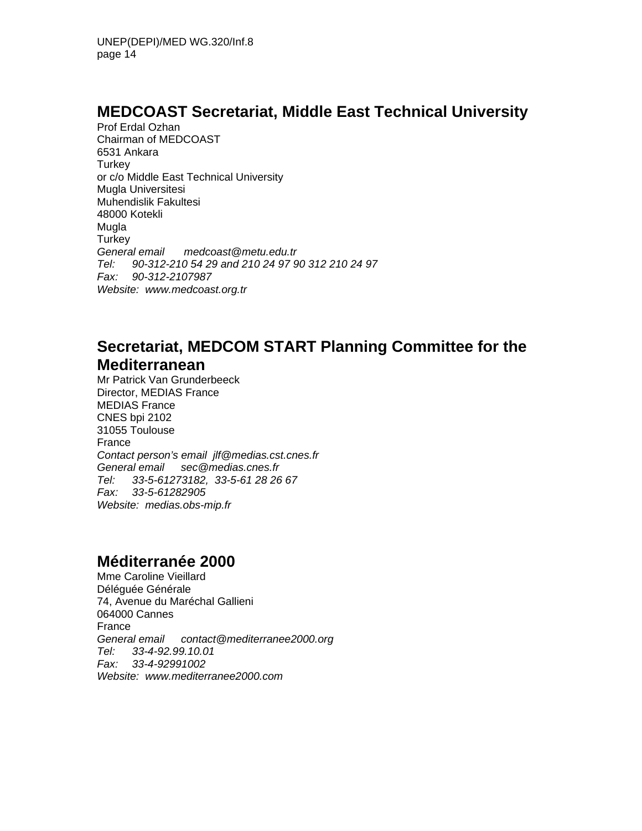### **MEDCOAST Secretariat, Middle East Technical University**

Prof Erdal Ozhan Chairman of MEDCOAST 6531 Ankara **Turkey** or c/o Middle East Technical University Mugla Universitesi Muhendislik Fakultesi 48000 Kotekli **Mugla Turkey** *General email medcoast@metu.edu.tr Tel: 90-312-210 54 29 and 210 24 97 90 312 210 24 97 Fax: 90-312-2107987 Website: www.medcoast.org.tr* 

### **Secretariat, MEDCOM START Planning Committee for the Mediterranean**

Mr Patrick Van Grunderbeeck Director, MEDIAS France MEDIAS France CNES bpi 2102 31055 Toulouse France *Contact person's email jlf@medias.cst.cnes.fr General email sec@medias.cnes.fr Tel: 33-5-61273182, 33-5-61 28 26 67 Fax: 33-5-61282905 Website: medias.obs-mip.fr* 

### **Méditerranée 2000**

Mme Caroline Vieillard Déléguée Générale 74, Avenue du Maréchal Gallieni 064000 Cannes France *General email contact@mediterranee2000.org Tel: 33-4-92.99.10.01 Fax: 33-4-92991002 Website: www.mediterranee2000.com*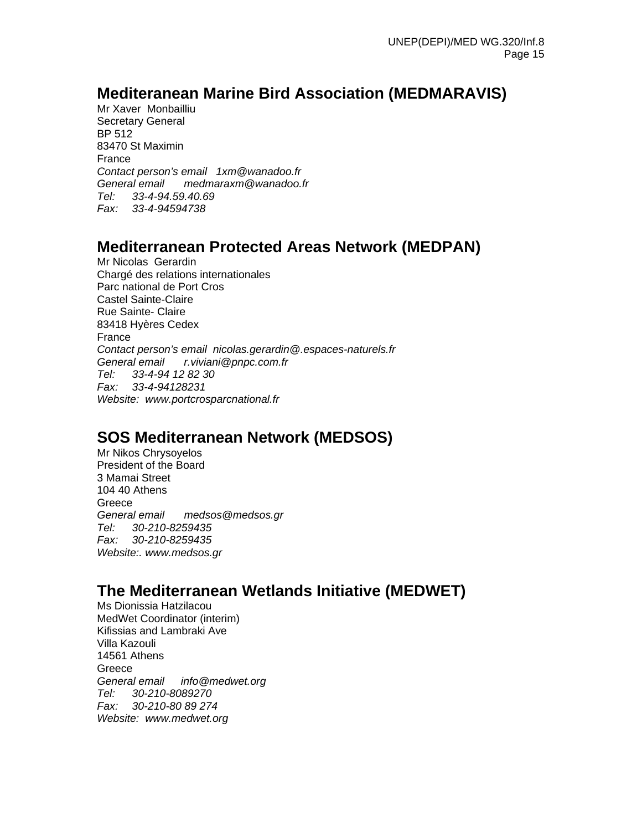### **Mediteranean Marine Bird Association (MEDMARAVIS)**

Mr Xaver Monbailliu Secretary General BP 512 83470 St Maximin France *Contact person's email 1xm@wanadoo.fr General email medmaraxm@wanadoo.fr Tel: 33-4-94.59.40.69 Fax: 33-4-94594738* 

#### **Mediterranean Protected Areas Network (MEDPAN)**

Mr Nicolas Gerardin Chargé des relations internationales Parc national de Port Cros Castel Sainte-Claire Rue Sainte- Claire 83418 Hyères Cedex France *Contact person's email nicolas.gerardin@.espaces-naturels.fr General email r.viviani@pnpc.com.fr Tel: 33-4-94 12 82 30 Fax: 33-4-94128231 Website: www.portcrosparcnational.fr* 

## **SOS Mediterranean Network (MEDSOS)**

Mr Nikos Chrysoyelos President of the Board 3 Mamai Street 104 40 Athens Greece *General email medsos@medsos.gr Tel: 30-210-8259435 Fax: 30-210-8259435 Website:. www.medsos.gr* 

#### **The Mediterranean Wetlands Initiative (MEDWET)**

Ms Dionissia Hatzilacou MedWet Coordinator (interim) Kifissias and Lambraki Ave Villa Kazouli 14561 Athens **Greece** *General email info@medwet.org Tel: 30-210-8089270 Fax: 30-210-80 89 274 Website: www.medwet.org*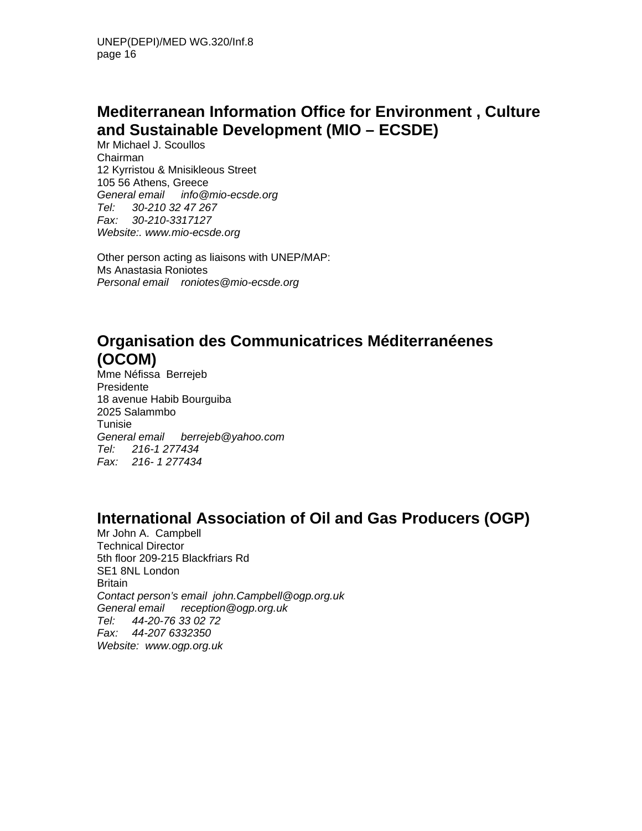## **Mediterranean Information Office for Environment , Culture and Sustainable Development (MIO – ECSDE)**

Mr Michael J. Scoullos Chairman 12 Kyrristou & Mnisikleous Street 105 56 Athens, Greece *General email info@mio-ecsde.org Tel: 30-210 32 47 267 Fax: 30-210-3317127 Website:. www.mio-ecsde.org* 

Other person acting as liaisons with UNEP/MAP: Ms Anastasia Roniotes *Personal email roniotes@mio-ecsde.org*

## **Organisation des Communicatrices Méditerranéenes (OCOM)**

Mme Néfissa Berrejeb Presidente 18 avenue Habib Bourguiba 2025 Salammbo Tunisie *General email berrejeb@yahoo.com Tel: 216-1 277434 Fax: 216- 1 277434* 

### **International Association of Oil and Gas Producers (OGP)**

Mr John A. Campbell Technical Director 5th floor 209-215 Blackfriars Rd SE1 8NL London **Britain** *Contact person's email john.Campbell@ogp.org.uk General email reception@ogp.org.uk Tel: 44-20-76 33 02 72 Fax: 44-207 6332350 Website: www.ogp.org.uk*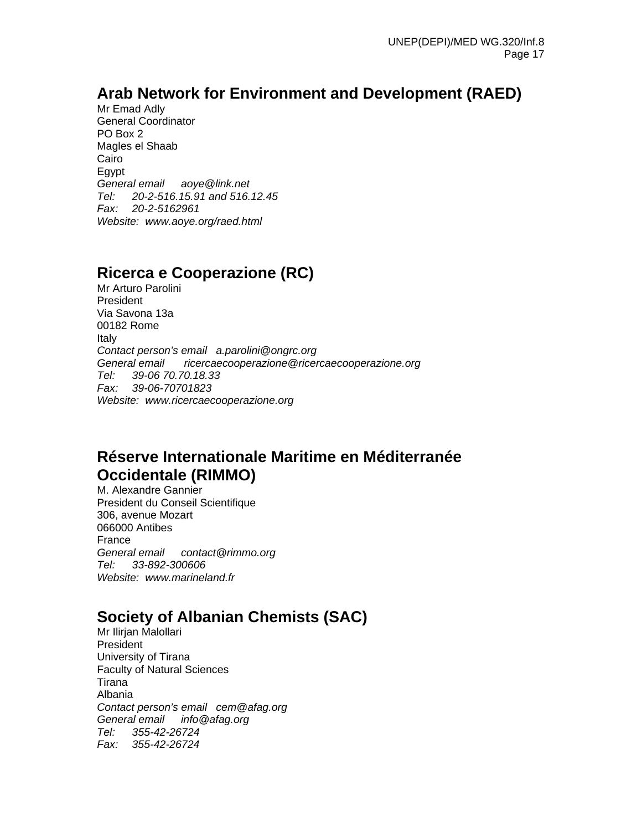## **Arab Network for Environment and Development (RAED)**

Mr Emad Adly General Coordinator PO Box 2 Magles el Shaab Cairo Egypt *General email aoye@link.net Tel: 20-2-516.15.91 and 516.12.45 Fax: 20-2-5162961 Website: www.aoye.org/raed.html* 

## **Ricerca e Cooperazione (RC)**

Mr Arturo Parolini President Via Savona 13a 00182 Rome Italy *Contact person's email a.parolini@ongrc.org General email ricercaecooperazione@ricercaecooperazione.org Tel: 39-06 70.70.18.33 Fax: 39-06-70701823 Website: www.ricercaecooperazione.org* 

### **Réserve Internationale Maritime en Méditerranée Occidentale (RIMMO)**

M. Alexandre Gannier President du Conseil Scientifique 306, avenue Mozart 066000 Antibes France *General email contact@rimmo.org Tel: 33-892-300606 Website: www.marineland.fr* 

## **Society of Albanian Chemists (SAC)**

Mr Ilirian Malollari President University of Tirana Faculty of Natural Sciences Tirana Albania *Contact person's email cem@afag.org General email info@afag.org Tel: 355-42-26724 Fax: 355-42-26724*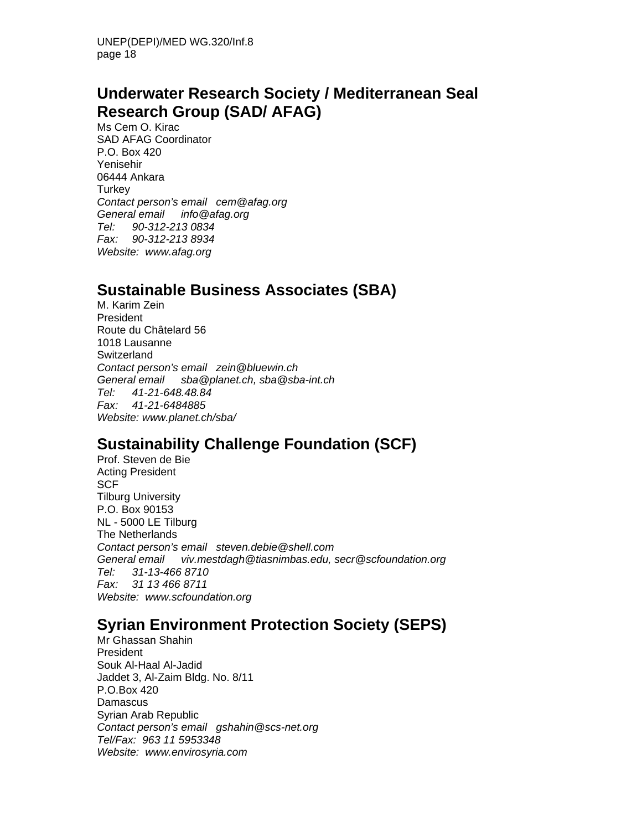### **Underwater Research Society / Mediterranean Seal Research Group (SAD/ AFAG)**

Ms Cem O. Kirac SAD AFAG Coordinator P.O. Box 420 Yenisehir 06444 Ankara **Turkey** *Contact person's email cem@afag.org General email info@afag.org Tel: 90-312-213 0834 Fax: 90-312-213 8934 Website: www.afag.org* 

### **Sustainable Business Associates (SBA)**

M. Karim Zein President Route du Châtelard 56 1018 Lausanne Switzerland *Contact person's email zein@bluewin.ch General email sba@planet.ch, sba@sba-int.ch Tel: 41-21-648.48.84 Fax: 41-21-6484885 Website: www.planet.ch/sba/* 

# **Sustainability Challenge Foundation (SCF)**

Prof. Steven de Bie Acting President **SCF** Tilburg University P.O. Box 90153 NL - 5000 LE Tilburg The Netherlands *Contact person's email steven.debie@shell.com General email viv.mestdagh@tiasnimbas.edu, secr@scfoundation.org Tel: 31-13-466 8710 Fax: 31 13 466 8711 Website: www.scfoundation.org* 

### **Syrian Environment Protection Society (SEPS)**

Mr Ghassan Shahin President Souk Al-Haal Al-Jadid Jaddet 3, Al-Zaim Bldg. No. 8/11 P.O.Box 420 **Damascus** Syrian Arab Republic *Contact person's email gshahin@scs-net.org Tel/Fax: 963 11 5953348 Website: www.envirosyria.com*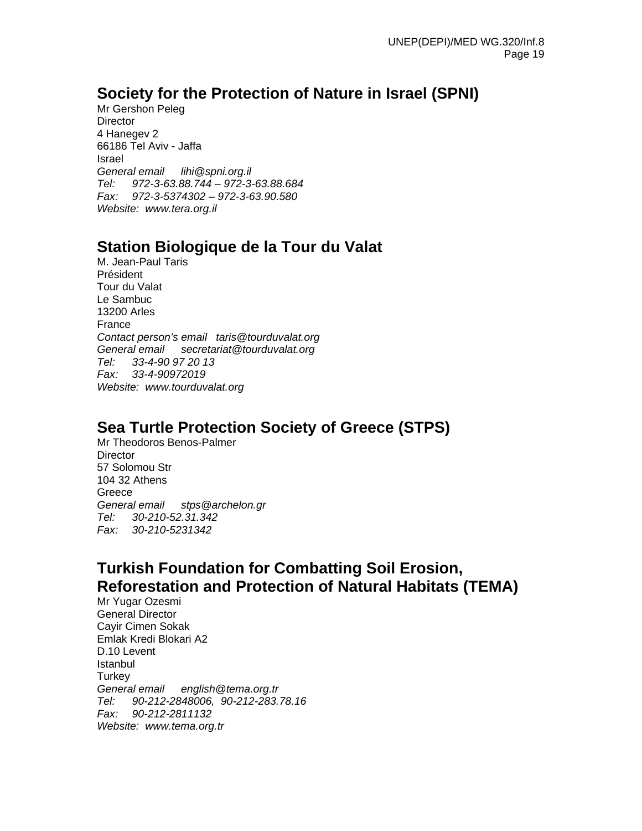### **Society for the Protection of Nature in Israel (SPNI)**

Mr Gershon Peleg **Director** 4 Hanegev 2 66186 Tel Aviv - Jaffa Israel *General email lihi@spni.org.il Tel: 972-3-63.88.744 – 972-3-63.88.684 Fax: 972-3-5374302 – 972-3-63.90.580 Website: www.tera.org.il* 

## **Station Biologique de la Tour du Valat**

M. Jean-Paul Taris Président Tour du Valat Le Sambuc 13200 Arles France *Contact person's email taris@tourduvalat.org General email secretariat@tourduvalat.org Tel: 33-4-90 97 20 13 Fax: 33-4-90972019 Website: www.tourduvalat.org* 

## **Sea Turtle Protection Society of Greece (STPS)**

Mr Theodoros Benos-Palmer **Director** 57 Solomou Str 104 32 Athens Greece *General email stps@archelon.gr Tel: 30-210-52.31.342 Fax: 30-210-5231342* 

### **Turkish Foundation for Combatting Soil Erosion, Reforestation and Protection of Natural Habitats (TEMA)**

Mr Yugar Ozesmi General Director Cayir Cimen Sokak Emlak Kredi Blokari A2 D.10 Levent Istanbul Turkey *General email english@tema.org.tr Tel: 90-212-2848006, 90-212-283.78.16 Fax: 90-212-2811132 Website: www.tema.org.tr*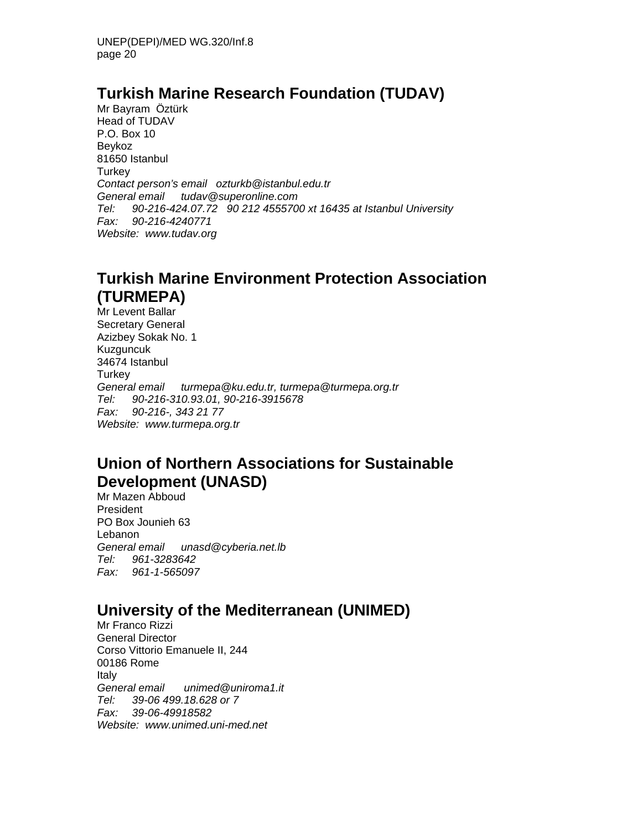### **Turkish Marine Research Foundation (TUDAV)**

Mr Bayram Öztürk Head of TUDAV P.O. Box 10 Beykoz 81650 Istanbul **Turkey** *Contact person's email ozturkb@istanbul.edu.tr General email tudav@superonline.com Tel: 90-216-424.07.72 90 212 4555700 xt 16435 at Istanbul University Fax: 90-216-4240771 Website: www.tudav.org* 

## **Turkish Marine Environment Protection Association (TURMEPA)**

Mr Levent Ballar Secretary General Azizbey Sokak No. 1 Kuzguncuk 34674 Istanbul **Turkey** *General email turmepa@ku.edu.tr, turmepa@turmepa.org.tr Tel: 90-216-310.93.01, 90-216-3915678 Fax: 90-216-, 343 21 77 Website: www.turmepa.org.tr* 

## **Union of Northern Associations for Sustainable Development (UNASD)**

Mr Mazen Abboud President PO Box Jounieh 63 Lebanon *General email unasd@cyberia.net.lb Tel: 961-3283642 Fax: 961-1-565097* 

## **University of the Mediterranean (UNIMED)**

Mr Franco Rizzi General Director Corso Vittorio Emanuele II, 244 00186 Rome Italy *General email unimed@uniroma1.it Tel: 39-06 499.18.628 or 7 Fax: 39-06-49918582 Website: www.unimed.uni-med.net*